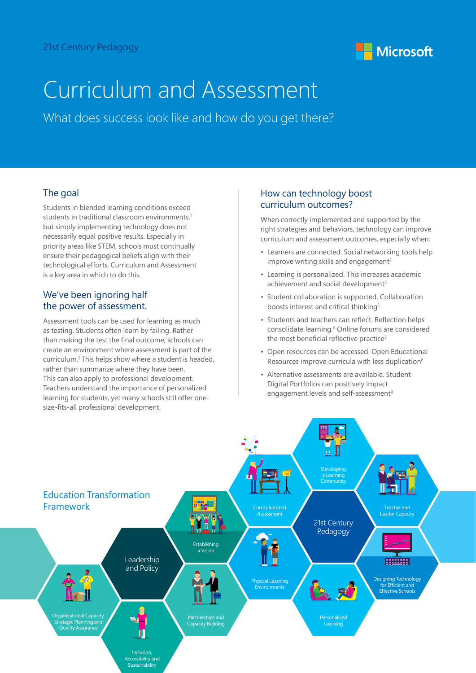

# Curriculum and Assessment

What does success look like and how do you get there?

# The goal

Students in blended learning conditions exceed students in traditional classroom environments.<sup>1</sup> but simply implementing technology does not necessarily equal positive results. Especially in priority areas like STEM, schools must continually ensure their pedagogical beliefs align with their technological efforts. Curriculum and Assessment is a key area in which to do this.

# We've been ignoring half the power of assessment.

Assessment tools can be used for learning as much as testing. Students often learn by failing. Rather than making the test the final outcome, schools can create an environment where assessment is part of the curriculum.2 This helps show where a student is headed, rather than summarize where they have been. This can also apply to professional development. Teachers understand the importance of personalized learning for students, yet many schools still offer onesize-fits-all professional development.

## How can technology boost curriculum outcomes?

When correctly implemented and supported by the right strategies and behaviors, technology can improve curriculum and assessment outcomes, especially when:

- Learners are connected. Social networking tools help improve writing skills and engagement<sup>3</sup>
- Learning is personalized. This increases academic achievement and social development<sup>4</sup>
- Student collaboration is supported. Collaboration boosts interest and critical thinking<sup>5</sup>
- Students and teachers can reflect. Reflection helps consolidate learning.<sup>6</sup> Online forums are considered the most beneficial reflective practice<sup>7</sup>
- Open resources can be accessed. Open Educational Resources improve curricula with less duplication<sup>8</sup>
- Alternative assessments are available. Student Digital Portfolios can positively impact engagement levels and self-assessment<sup>9</sup>